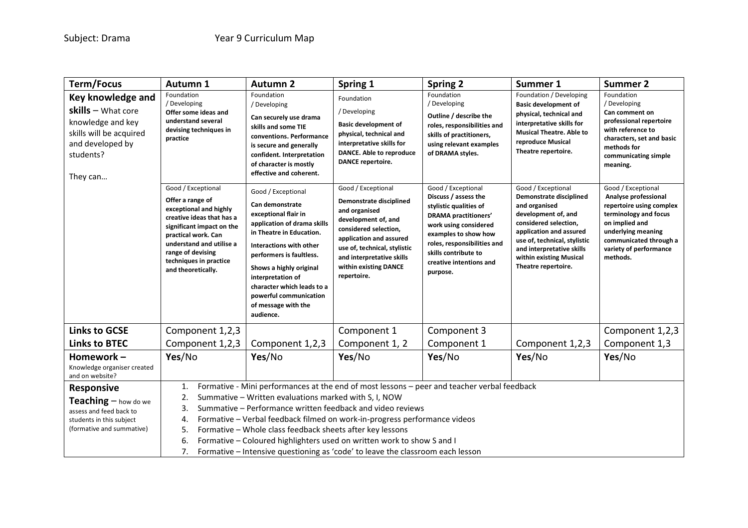| <b>Term/Focus</b>                                                                                                                      | Autumn 1                                                                                                                                                                                                                                                                                                                                                                                                                                                                                                                                                           | <b>Autumn 2</b>                                                                                                                                                                                                                                                                                                                                                                                                                                                                                                                               | Spring 1                                                                                                                                                                                                                                                                                                                                                                                                                    | <b>Spring 2</b>                                                                                                                                                                                                                                                                                                                                                                                                      | Summer 1                                                                                                                                                                                                                                                                                                                                                                                                                                                  | <b>Summer 2</b>                                                                                                                                                                                                                                                                                                                                                                         |
|----------------------------------------------------------------------------------------------------------------------------------------|--------------------------------------------------------------------------------------------------------------------------------------------------------------------------------------------------------------------------------------------------------------------------------------------------------------------------------------------------------------------------------------------------------------------------------------------------------------------------------------------------------------------------------------------------------------------|-----------------------------------------------------------------------------------------------------------------------------------------------------------------------------------------------------------------------------------------------------------------------------------------------------------------------------------------------------------------------------------------------------------------------------------------------------------------------------------------------------------------------------------------------|-----------------------------------------------------------------------------------------------------------------------------------------------------------------------------------------------------------------------------------------------------------------------------------------------------------------------------------------------------------------------------------------------------------------------------|----------------------------------------------------------------------------------------------------------------------------------------------------------------------------------------------------------------------------------------------------------------------------------------------------------------------------------------------------------------------------------------------------------------------|-----------------------------------------------------------------------------------------------------------------------------------------------------------------------------------------------------------------------------------------------------------------------------------------------------------------------------------------------------------------------------------------------------------------------------------------------------------|-----------------------------------------------------------------------------------------------------------------------------------------------------------------------------------------------------------------------------------------------------------------------------------------------------------------------------------------------------------------------------------------|
| Key knowledge and<br>$skills - What core$<br>knowledge and key<br>skills will be acquired<br>and developed by<br>students?<br>They can | Foundation<br>/ Developing<br>Offer some ideas and<br>understand several<br>devising techniques in<br>practice<br>Good / Exceptional<br>Offer a range of<br>exceptional and highly<br>creative ideas that has a<br>significant impact on the<br>practical work. Can<br>understand and utilise a<br>range of devising<br>techniques in practice<br>and theoretically.                                                                                                                                                                                               | Foundation<br>/ Developing<br>Can securely use drama<br>skills and some TIE<br>conventions. Performance<br>is secure and generally<br>confident. Interpretation<br>of character is mostly<br>effective and coherent.<br>Good / Exceptional<br>Can demonstrate<br>exceptional flair in<br>application of drama skills<br>in Theatre in Education.<br><b>Interactions with other</b><br>performers is faultless.<br>Shows a highly original<br>interpretation of<br>character which leads to a<br>powerful communication<br>of message with the | Foundation<br>/ Developing<br><b>Basic development of</b><br>physical, technical and<br>interpretative skills for<br>DANCE. Able to reproduce<br><b>DANCE repertoire.</b><br>Good / Exceptional<br>Demonstrate disciplined<br>and organised<br>development of, and<br>considered selection,<br>application and assured<br>use of, technical, stylistic<br>and interpretative skills<br>within existing DANCE<br>repertoire. | Foundation<br>/ Developing<br>Outline / describe the<br>roles, responsibilities and<br>skills of practitioners,<br>using relevant examples<br>of DRAMA styles.<br>Good / Exceptional<br>Discuss / assess the<br>stylistic qualities of<br><b>DRAMA</b> practitioners'<br>work using considered<br>examples to show how<br>roles, responsibilities and<br>skills contribute to<br>creative intentions and<br>purpose. | Foundation / Developing<br><b>Basic development of</b><br>physical, technical and<br>interpretative skills for<br><b>Musical Theatre. Able to</b><br>reproduce Musical<br>Theatre repertoire.<br>Good / Exceptional<br>Demonstrate disciplined<br>and organised<br>development of, and<br>considered selection,<br>application and assured<br>use of, technical, stylistic<br>and interpretative skills<br>within existing Musical<br>Theatre repertoire. | Foundation<br>/ Developing<br>Can comment on<br>professional repertoire<br>with reference to<br>characters, set and basic<br>methods for<br>communicating simple<br>meaning.<br>Good / Exceptional<br>Analyse professional<br>repertoire using complex<br>terminology and focus<br>on implied and<br>underlying meaning<br>communicated through a<br>variety of performance<br>methods. |
| <b>Links to GCSE</b>                                                                                                                   | Component 1,2,3                                                                                                                                                                                                                                                                                                                                                                                                                                                                                                                                                    |                                                                                                                                                                                                                                                                                                                                                                                                                                                                                                                                               | Component 1                                                                                                                                                                                                                                                                                                                                                                                                                 | Component 3                                                                                                                                                                                                                                                                                                                                                                                                          |                                                                                                                                                                                                                                                                                                                                                                                                                                                           | Component 1,2,3                                                                                                                                                                                                                                                                                                                                                                         |
| <b>Links to BTEC</b>                                                                                                                   | Component 1,2,3                                                                                                                                                                                                                                                                                                                                                                                                                                                                                                                                                    | Component 1,2,3                                                                                                                                                                                                                                                                                                                                                                                                                                                                                                                               | Component 1, 2                                                                                                                                                                                                                                                                                                                                                                                                              | Component 1                                                                                                                                                                                                                                                                                                                                                                                                          | Component 1,2,3                                                                                                                                                                                                                                                                                                                                                                                                                                           | Component 1,3                                                                                                                                                                                                                                                                                                                                                                           |
| Homework-<br>Knowledge organiser created<br>and on website?                                                                            | Yes/No                                                                                                                                                                                                                                                                                                                                                                                                                                                                                                                                                             | Yes/No                                                                                                                                                                                                                                                                                                                                                                                                                                                                                                                                        | Yes/No                                                                                                                                                                                                                                                                                                                                                                                                                      | Yes/No                                                                                                                                                                                                                                                                                                                                                                                                               | Yes/No                                                                                                                                                                                                                                                                                                                                                                                                                                                    | Yes/No                                                                                                                                                                                                                                                                                                                                                                                  |
| <b>Responsive</b><br>Teaching - how do we<br>assess and feed back to<br>students in this subject<br>(formative and summative)          | Formative - Mini performances at the end of most lessons - peer and teacher verbal feedback<br>1.<br>2.<br>Summative - Written evaluations marked with S, I, NOW<br>Summative - Performance written feedback and video reviews<br>3.<br>Formative - Verbal feedback filmed on work-in-progress performance videos<br>4.<br>Formative - Whole class feedback sheets after key lessons<br>5.<br>6.<br>Formative - Coloured highlighters used on written work to show S and I<br>7.<br>Formative - Intensive questioning as 'code' to leave the classroom each lesson |                                                                                                                                                                                                                                                                                                                                                                                                                                                                                                                                               |                                                                                                                                                                                                                                                                                                                                                                                                                             |                                                                                                                                                                                                                                                                                                                                                                                                                      |                                                                                                                                                                                                                                                                                                                                                                                                                                                           |                                                                                                                                                                                                                                                                                                                                                                                         |